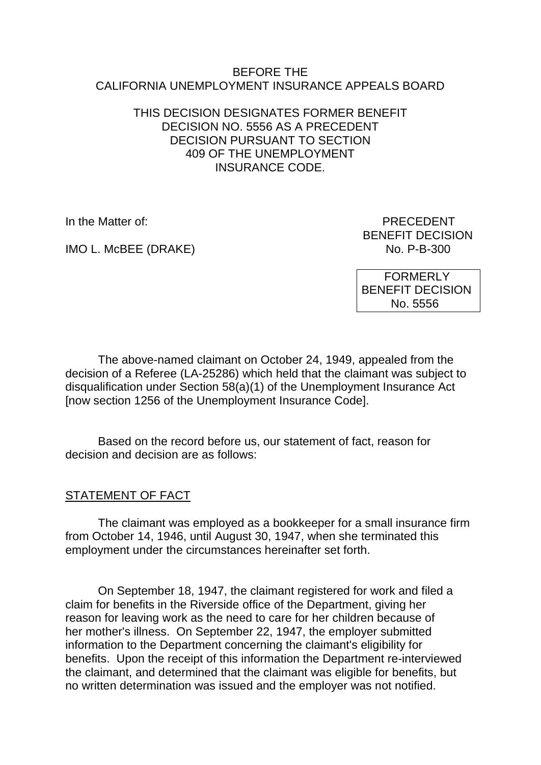#### BEFORE THE CALIFORNIA UNEMPLOYMENT INSURANCE APPEALS BOARD

#### THIS DECISION DESIGNATES FORMER BENEFIT DECISION NO. 5556 AS A PRECEDENT DECISION PURSUANT TO SECTION 409 OF THE UNEMPLOYMENT INSURANCE CODE.

IMO L. McBEE (DRAKE)

In the Matter of: PRECEDENT BENEFIT DECISION<br>No. P-B-300

> FORMERLY BENEFIT DECISION No. 5556

The above-named claimant on October 24, 1949, appealed from the decision of a Referee (LA-25286) which held that the claimant was subject to disqualification under Section 58(a)(1) of the Unemployment Insurance Act [now section 1256 of the Unemployment Insurance Code].

Based on the record before us, our statement of fact, reason for decision and decision are as follows:

# STATEMENT OF FACT

The claimant was employed as a bookkeeper for a small insurance firm from October 14, 1946, until August 30, 1947, when she terminated this employment under the circumstances hereinafter set forth.

On September 18, 1947, the claimant registered for work and filed a claim for benefits in the Riverside office of the Department, giving her reason for leaving work as the need to care for her children because of her mother's illness. On September 22, 1947, the employer submitted information to the Department concerning the claimant's eligibility for benefits. Upon the receipt of this information the Department re-interviewed the claimant, and determined that the claimant was eligible for benefits, but no written determination was issued and the employer was not notified.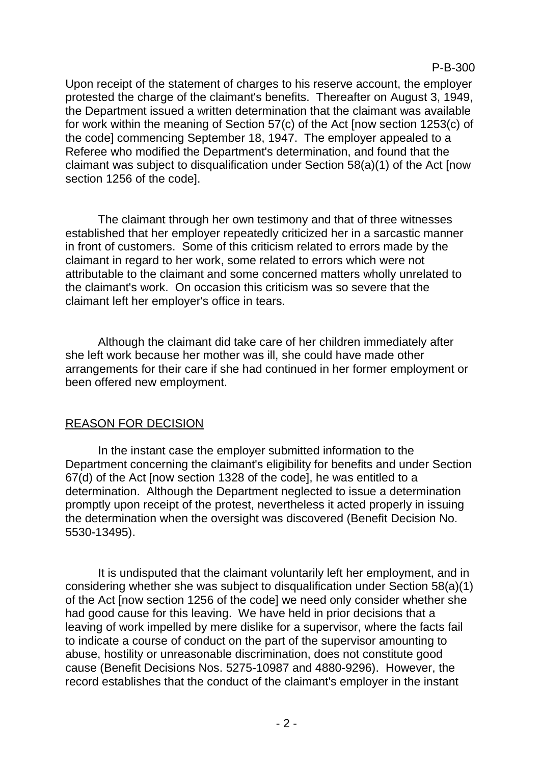P-B-300

Upon receipt of the statement of charges to his reserve account, the employer protested the charge of the claimant's benefits. Thereafter on August 3, 1949, the Department issued a written determination that the claimant was available for work within the meaning of Section 57(c) of the Act [now section 1253(c) of the code] commencing September 18, 1947. The employer appealed to a Referee who modified the Department's determination, and found that the claimant was subject to disqualification under Section 58(a)(1) of the Act [now section 1256 of the code].

The claimant through her own testimony and that of three witnesses established that her employer repeatedly criticized her in a sarcastic manner in front of customers. Some of this criticism related to errors made by the claimant in regard to her work, some related to errors which were not attributable to the claimant and some concerned matters wholly unrelated to the claimant's work. On occasion this criticism was so severe that the claimant left her employer's office in tears.

Although the claimant did take care of her children immediately after she left work because her mother was ill, she could have made other arrangements for their care if she had continued in her former employment or been offered new employment.

# REASON FOR DECISION

In the instant case the employer submitted information to the Department concerning the claimant's eligibility for benefits and under Section 67(d) of the Act [now section 1328 of the code], he was entitled to a determination. Although the Department neglected to issue a determination promptly upon receipt of the protest, nevertheless it acted properly in issuing the determination when the oversight was discovered (Benefit Decision No. 5530-13495).

It is undisputed that the claimant voluntarily left her employment, and in considering whether she was subject to disqualification under Section 58(a)(1) of the Act [now section 1256 of the code] we need only consider whether she had good cause for this leaving. We have held in prior decisions that a leaving of work impelled by mere dislike for a supervisor, where the facts fail to indicate a course of conduct on the part of the supervisor amounting to abuse, hostility or unreasonable discrimination, does not constitute good cause (Benefit Decisions Nos. 5275-10987 and 4880-9296). However, the record establishes that the conduct of the claimant's employer in the instant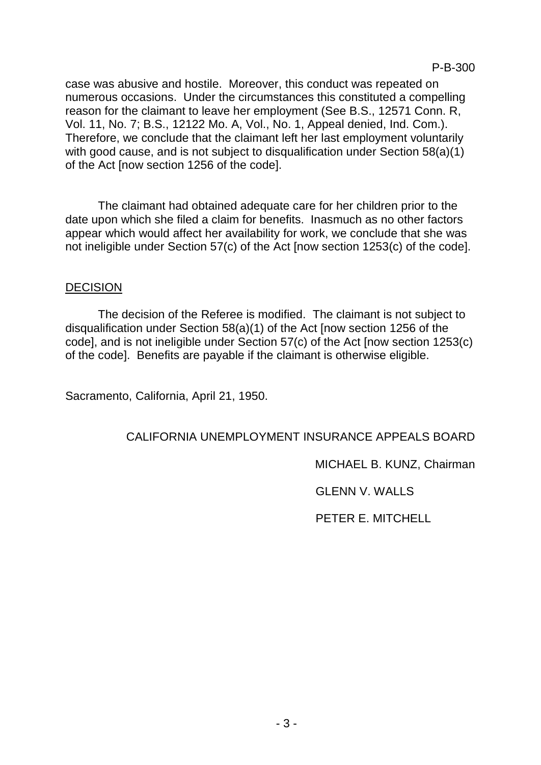case was abusive and hostile. Moreover, this conduct was repeated on numerous occasions. Under the circumstances this constituted a compelling reason for the claimant to leave her employment (See B.S., 12571 Conn. R, Vol. 11, No. 7; B.S., 12122 Mo. A, Vol., No. 1, Appeal denied, Ind. Com.). Therefore, we conclude that the claimant left her last employment voluntarily with good cause, and is not subject to disqualification under Section 58(a)(1) of the Act [now section 1256 of the code].

The claimant had obtained adequate care for her children prior to the date upon which she filed a claim for benefits. Inasmuch as no other factors appear which would affect her availability for work, we conclude that she was not ineligible under Section 57(c) of the Act [now section 1253(c) of the code].

#### DECISION

The decision of the Referee is modified. The claimant is not subject to disqualification under Section 58(a)(1) of the Act [now section 1256 of the code], and is not ineligible under Section 57(c) of the Act [now section 1253(c) of the code]. Benefits are payable if the claimant is otherwise eligible.

Sacramento, California, April 21, 1950.

#### CALIFORNIA UNEMPLOYMENT INSURANCE APPEALS BOARD

MICHAEL B. KUNZ, Chairman

GLENN V. WALLS

PETER E. MITCHELL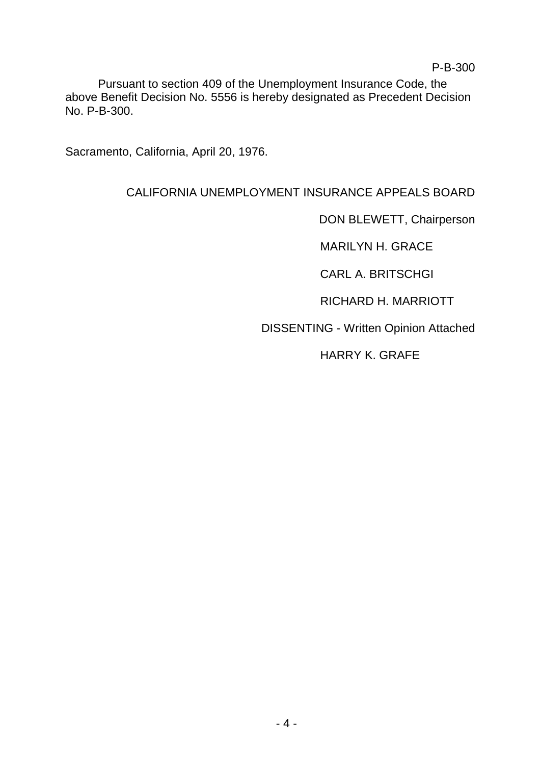Pursuant to section 409 of the Unemployment Insurance Code, the above Benefit Decision No. 5556 is hereby designated as Precedent Decision No. P-B-300.

Sacramento, California, April 20, 1976.

# CALIFORNIA UNEMPLOYMENT INSURANCE APPEALS BOARD

DON BLEWETT, Chairperson

MARILYN H. GRACE

CARL A. BRITSCHGI

RICHARD H. MARRIOTT

DISSENTING - Written Opinion Attached

HARRY K. GRAFE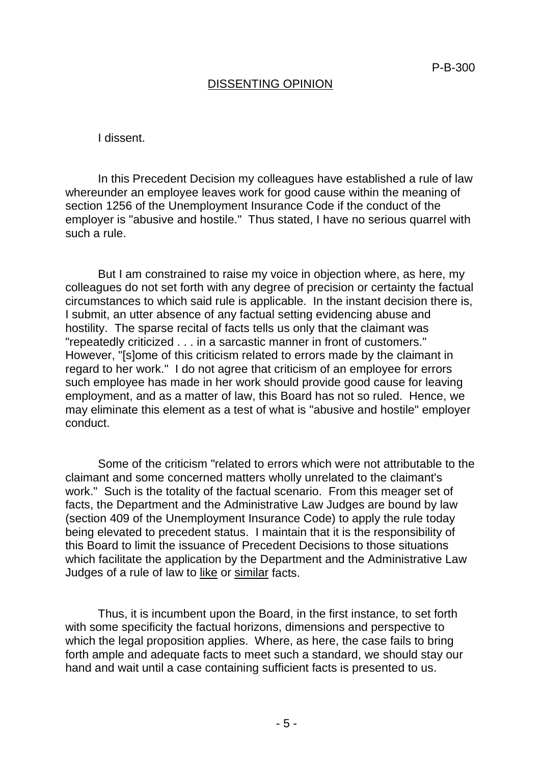### DISSENTING OPINION

I dissent.

In this Precedent Decision my colleagues have established a rule of law whereunder an employee leaves work for good cause within the meaning of section 1256 of the Unemployment Insurance Code if the conduct of the employer is "abusive and hostile." Thus stated, I have no serious quarrel with such a rule.

But I am constrained to raise my voice in objection where, as here, my colleagues do not set forth with any degree of precision or certainty the factual circumstances to which said rule is applicable. In the instant decision there is, I submit, an utter absence of any factual setting evidencing abuse and hostility. The sparse recital of facts tells us only that the claimant was "repeatedly criticized . . . in a sarcastic manner in front of customers." However, "[s]ome of this criticism related to errors made by the claimant in regard to her work." I do not agree that criticism of an employee for errors such employee has made in her work should provide good cause for leaving employment, and as a matter of law, this Board has not so ruled. Hence, we may eliminate this element as a test of what is "abusive and hostile" employer conduct.

Some of the criticism "related to errors which were not attributable to the claimant and some concerned matters wholly unrelated to the claimant's work." Such is the totality of the factual scenario. From this meager set of facts, the Department and the Administrative Law Judges are bound by law (section 409 of the Unemployment Insurance Code) to apply the rule today being elevated to precedent status. I maintain that it is the responsibility of this Board to limit the issuance of Precedent Decisions to those situations which facilitate the application by the Department and the Administrative Law Judges of a rule of law to like or similar facts.

Thus, it is incumbent upon the Board, in the first instance, to set forth with some specificity the factual horizons, dimensions and perspective to which the legal proposition applies. Where, as here, the case fails to bring forth ample and adequate facts to meet such a standard, we should stay our hand and wait until a case containing sufficient facts is presented to us.